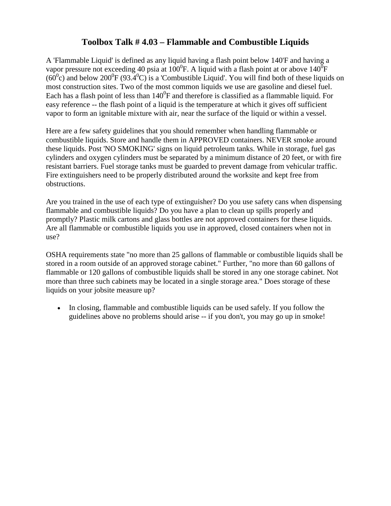## **Toolbox Talk # 4.03 – Flammable and Combustible Liquids**

A 'Flammable Liquid' is defined as any liquid having a flash point below 140'F and having a vapor pressure not exceeding 40 psia at 100<sup>0</sup>F. A liquid with a flash point at or above 140<sup>0</sup>F  $(60^{\circ}c)$  and below 200<sup>°</sup>F (93.4<sup>°</sup>C) is a 'Combustible Liquid'. You will find both of these liquids on most construction sites. Two of the most common liquids we use are gasoline and diesel fuel. Each has a flash point of less than  $140^0$ F and therefore is classified as a flammable liquid. For easy reference -- the flash point of a liquid is the temperature at which it gives off sufficient vapor to form an ignitable mixture with air, near the surface of the liquid or within a vessel.

Here are a few safety guidelines that you should remember when handling flammable or combustible liquids. Store and handle them in APPROVED containers. NEVER smoke around these liquids. Post 'NO SMOKING' signs on liquid petroleum tanks. While in storage, fuel gas cylinders and oxygen cylinders must be separated by a minimum distance of 20 feet, or with fire resistant barriers. Fuel storage tanks must be guarded to prevent damage from vehicular traffic. Fire extinguishers need to be properly distributed around the worksite and kept free from obstructions.

Are you trained in the use of each type of extinguisher? Do you use safety cans when dispensing flammable and combustible liquids? Do you have a plan to clean up spills properly and promptly? Plastic milk cartons and glass bottles are not approved containers for these liquids. Are all flammable or combustible liquids you use in approved, closed containers when not in use?

OSHA requirements state "no more than 25 gallons of flammable or combustible liquids shall be stored in a room outside of an approved storage cabinet." Further, "no more than 60 gallons of flammable or 120 gallons of combustible liquids shall be stored in any one storage cabinet. Not more than three such cabinets may be located in a single storage area." Does storage of these liquids on your jobsite measure up?

• In closing, flammable and combustible liquids can be used safely. If you follow the guidelines above no problems should arise -- if you don't, you may go up in smoke!